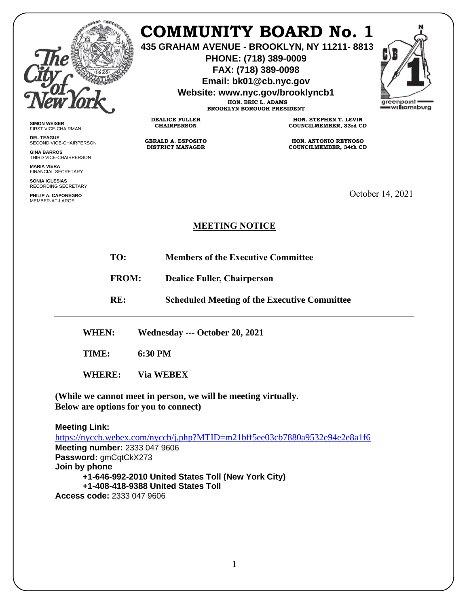

## **COMMUNITY BOARD No. 1**

**435 GRAHAM AVENUE - BROOKLYN, NY 11211- 8813**

**PHONE: (718) 389-0009 FAX: (718) 389-0098**

**Email: bk01@cb.nyc.gov**

**Website: www.nyc.gov/brooklyncb1**

**HON. ERIC L. ADAMS BROOKLYN BOROUGH PRESIDENT**



**SIMON WEISER** FIRST VICE-CHAIRMAN

**DEL TEAGUE** SECOND VICE-CHAIRPERSON

**GINA BARROS** THIRD VICE-CHAIRPERSON

**MARIA VIERA** FINANCIAL SECRETARY

**SONIA IGLESIAS** RECORDING SECRETARY

**PHILIP A. CAPONEGRO** MEMBER-AT-LARGE

**HON. STEPHEN T. LEVIN COUNCILMEMBER, 33rd CD**

**HON. ANTONIO REYNOSO COUNCILMEMBER, 34th CD**

October 14, 2021

## **MEETING NOTICE**

- **TO: Members of the Executive Committee**
- **FROM: Dealice Fuller, Chairperson**

**RE: Scheduled Meeting of the Executive Committee**

**WHEN: Wednesday --- October 20, 2021**

**DEALICE FULLER CHAIRPERSON**

**GERALD A. ESPOSITO DISTRICT MANAGER**

**TIME: 6:30 PM**

**WHERE: Via WEBEX**

**(While we cannot meet in person, we will be meeting virtually. Below are options for you to connect)**

**Meeting Link:**  <https://nyccb.webex.com/nyccb/j.php?MTID=m21bff5ee03cb7880a9532e94e2e8a1f6> **Meeting number:** 2333 047 9606 **Password:** gmCqtCkX273 **Join by phone +1-646-992-2010 United States Toll (New York City) +1-408-418-9388 United States Toll Access code:** 2333 047 9606